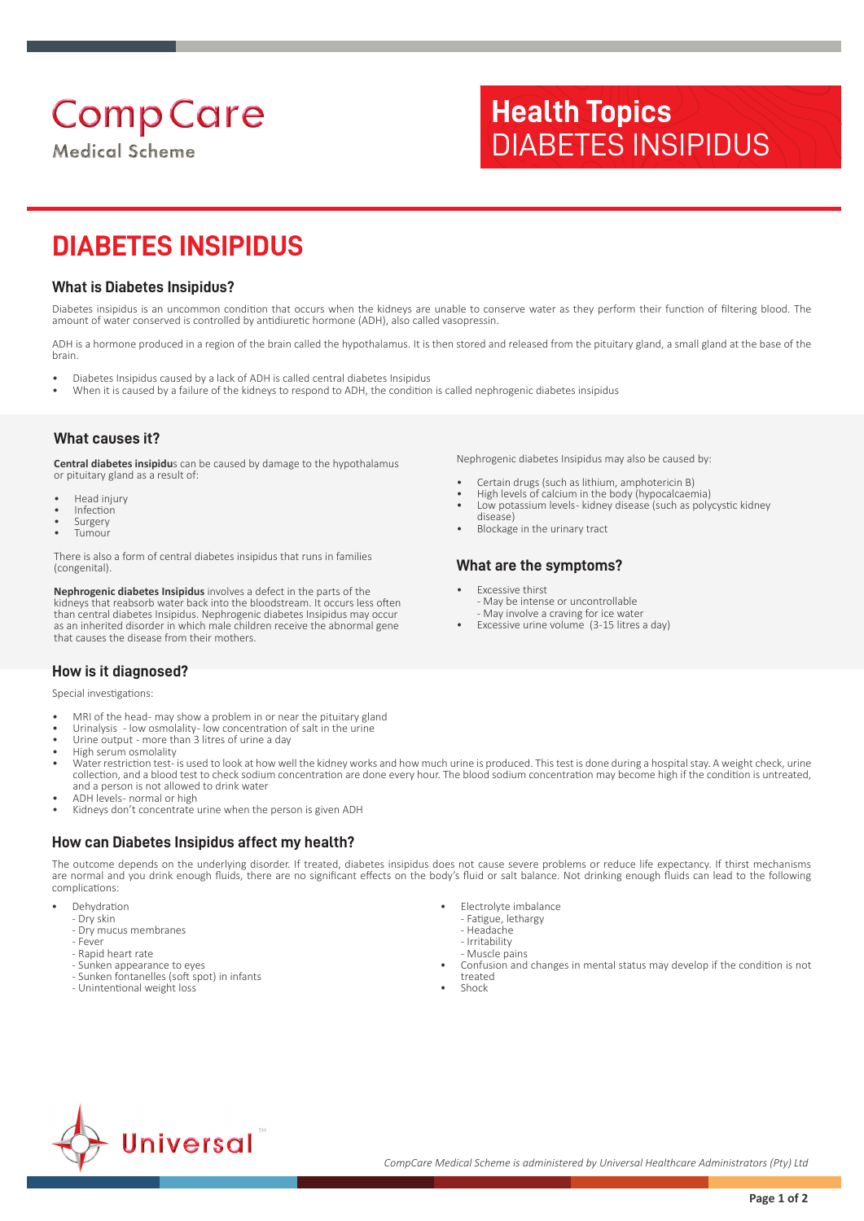# **Comp Care**

**Medical Scheme** 

# **Health Topics** DIABETES INSIPIDUS

# **DIABETES INSIPIDUS**

## **What is Diabetes Insipidus?**

Diabetes insipidus is an uncommon condition that occurs when the kidneys are unable to conserve water as they perform their function of filtering blood. The amount of water conserved is controlled by antidiuretic hormone (ADH), also called vasopressin.

ADH is a hormone produced in a region of the brain called the hypothalamus. It is then stored and released from the pituitary gland, a small gland at the base of the brain.

- Diabetes Insipidus caused by a lack of ADH is called central diabetes Insipidus
- When it is caused by a failure of the kidneys to respond to ADH, the condition is called nephrogenic diabetes insipidus

## **What causes it?**

**Central diabetes insipidu**s can be caused by damage to the hypothalamus or pituitary gland as a result of:

- Head injury
- Infection
- **Surgery**
- Tumour

There is also a form of central diabetes insipidus that runs in families (congenital).

**Nephrogenic diabetes Insipidus** involves a defect in the parts of the kidneys that reabsorb water back into the bloodstream. It occurs less often than central diabetes Insipidus. Nephrogenic diabetes Insipidus may occur as an inherited disorder in which male children receive the abnormal gene that causes the disease from their mothers.

Nephrogenic diabetes Insipidus may also be caused by:

- Certain drugs (such as lithium, amphotericin B)
- High levels of calcium in the body (hypocalcaemia) • Low potassium levels - kidney disease (such as polycystic kidney
- disease)
- Blockage in the urinary tract

# **What are the symptoms?**

- Excessive thirst - May be intense or uncontrollable - May involve a craving for ice water
- Excessive urine volume (3-15 litres a day)

# **How is it diagnosed?**

Special investigations:

- MRI of the head- may show a problem in or near the pituitary gland
- Urinalysis low osmolality- low concentration of salt in the urine Urine output - more than 3 litres of urine a day
- High serum osmolality
- Water restriction test- is used to look at how well the kidney works and how much urine is produced. This test is done during a hospital stay. A weight check, urine collection, and a blood test to check sodium concentration are done every hour. The blood sodium concentration may become high if the condition is untreated, and a person is not allowed to drink water
- ADH levels- normal or high
- Kidneys don't concentrate urine when the person is given ADH

# **How can Diabetes Insipidus affect my health?**

The outcome depends on the underlying disorder. If treated, diabetes insipidus does not cause severe problems or reduce life expectancy. If thirst mechanisms are normal and you drink enough fluids, there are no significant effects on the body's fluid or salt balance. Not drinking enough fluids can lead to the following complications:

- **Dehydration** 
	- Dry skin
	- Dry mucus membranes
	- Fever - Rapid heart rate
	- Sunken appearance to eyes
	-
	- Sunken fontanelles (soft spot) in infants - Unintentional weight loss
- Electrolyte imbalance
	- Fatigue, lethargy
	- Headache
	- Irritability
	- Muscle pains
- Confusion and changes in mental status may develop if the condition is not treated
- Shock